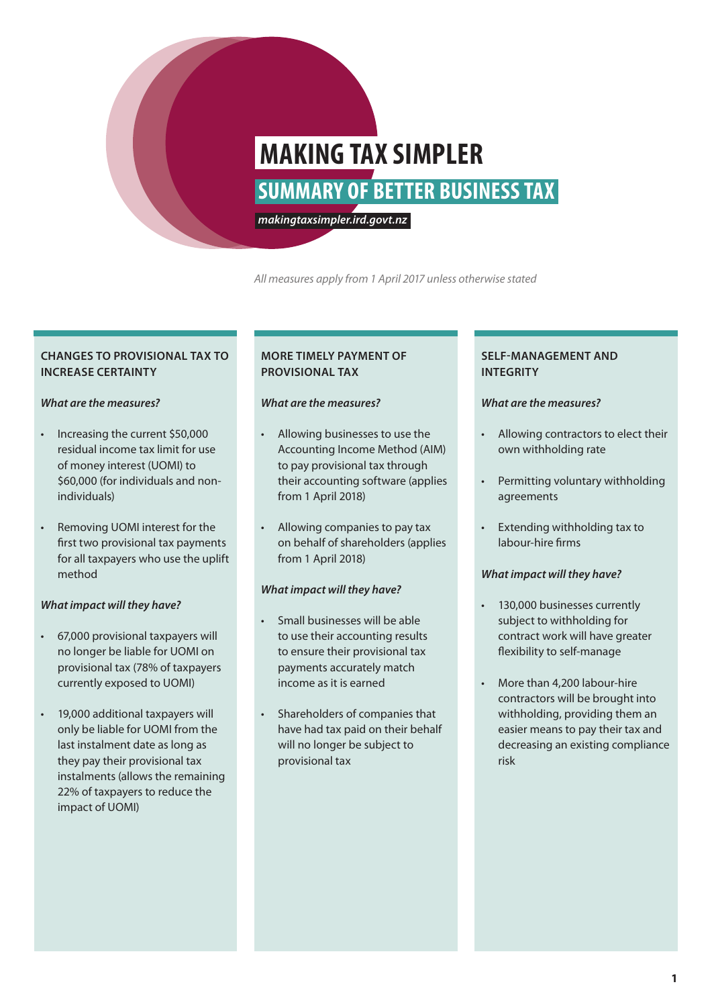# **SUMMARY OF BETTER BUSINESS TAX MAKING TAX SIMPLER**

*makingtaxsimpler.ird.govt.nz*

*All measures apply from 1 April 2017 unless otherwise stated*

# **CHANGES TO PROVISIONAL TAX TO INCREASE CERTAINTY**

# *What are the measures?*

- Increasing the current \$50,000 residual income tax limit for use of money interest (UOMI) to \$60,000 (for individuals and nonindividuals)
- Removing UOMI interest for the first two provisional tax payments for all taxpayers who use the uplift method

# *What impact will they have?*

- 67,000 provisional taxpayers will no longer be liable for UOMI on provisional tax (78% of taxpayers currently exposed to UOMI)
- 19,000 additional taxpayers will only be liable for UOMI from the last instalment date as long as they pay their provisional tax instalments (allows the remaining 22% of taxpayers to reduce the impact of UOMI)

# **MORE TIMELY PAYMENT OF PROVISIONAL TAX**

# *What are the measures?*

- Allowing businesses to use the Accounting Income Method (AIM) to pay provisional tax through their accounting software (applies from 1 April 2018)
- Allowing companies to pay tax on behalf of shareholders (applies from 1 April 2018)

# *What impact will they have?*

- Small businesses will be able to use their accounting results to ensure their provisional tax payments accurately match income as it is earned
- Shareholders of companies that have had tax paid on their behalf will no longer be subject to provisional tax

# **SELF-MANAGEMENT AND INTEGRITY**

# *What are the measures?*

- Allowing contractors to elect their own withholding rate
- Permitting voluntary withholding agreements
- Extending withholding tax to labour-hire firms

# *What impact will they have?*

- 130,000 businesses currently subject to withholding for contract work will have greater flexibility to self-manage
- More than 4,200 labour-hire contractors will be brought into withholding, providing them an easier means to pay their tax and decreasing an existing compliance risk